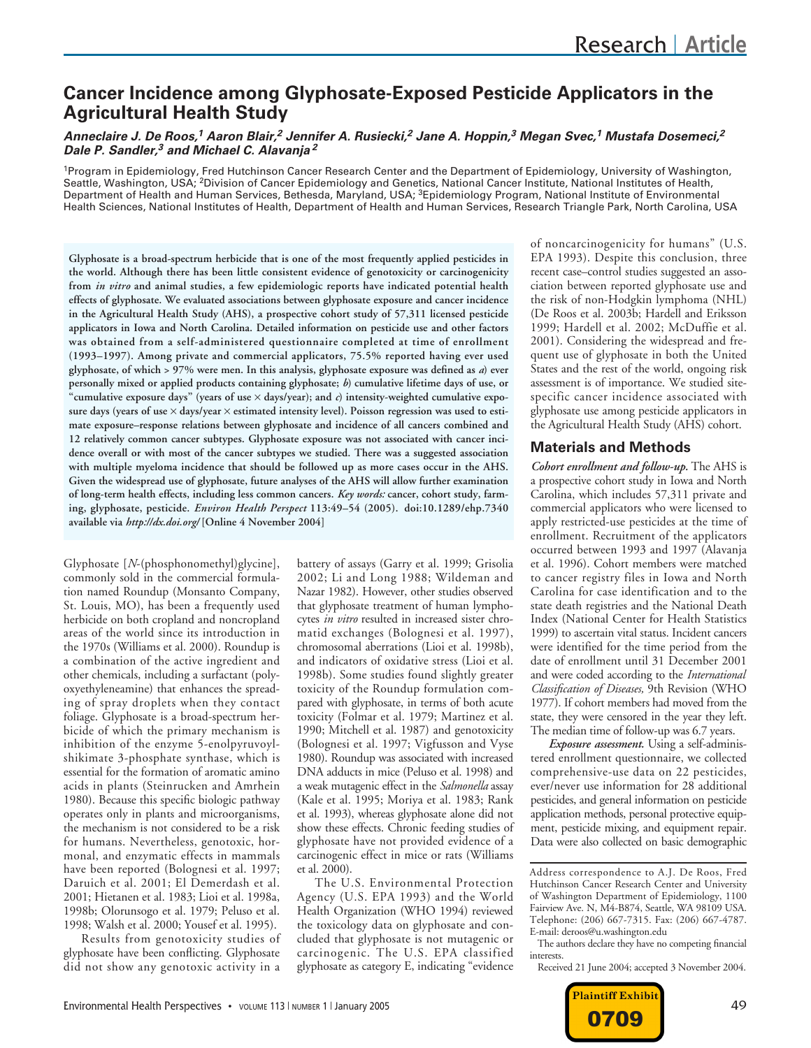# **Cancer Incidence among Glyphosate-Exposed Pesticide Applicators in the Agricultural Health Study**

### **Anneclaire J. De Roos,<sup>1</sup> Aaron Blair,<sup>2</sup> Jennifer A. Rusiecki,<sup>2</sup> Jane A. Hoppin,<sup>3</sup> Megan Svec,<sup>1</sup> Mustafa Dosemeci,<sup>2</sup> Dale P. Sandler,<sup>3</sup> and Michael C. Alavanja<sup>2</sup>**

1Program in Epidemiology, Fred Hutchinson Cancer Research Center and the Department of Epidemiology, University of Washington, Seattle, Washington, USA; <sup>2</sup>Division of Cancer Epidemiology and Genetics, National Cancer Institute, National Institutes of Health, Department of Health and Human Services, Bethesda, Maryland, USA; 3Epidemiology Program, National Institute of Environmental Health Sciences, National Institutes of Health, Department of Health and Human Services, Research Triangle Park, North Carolina, USA

**Glyphosate is a broad-spectrum herbicide that is one of the most frequently applied pesticides in the world. Although there has been little consistent evidence of genotoxicity or carcinogenicity from** *in vitro* **and animal studies, a few epidemiologic reports have indicated potential health effects of glyphosate. We evaluated associations between glyphosate exposure and cancer incidence in the Agricultural Health Study (AHS), a prospective cohort study of 57,311 licensed pesticide applicators in Iowa and North Carolina. Detailed information on pesticide use and other factors was obtained from a self-administered questionnaire completed at time of enrollment (1993–1997). Among private and commercial applicators, 75.5% reported having ever used glyphosate, of which > 97% were men. In this analysis, glyphosate exposure was defined as** *a***) ever personally mixed or applied products containing glyphosate;** *b***) cumulative lifetime days of use, or "cumulative exposure days" (years of use** × **days/year); and** *c***) intensity-weighted cumulative exposure days (years of use** × **days/year** × **estimated intensity level). Poisson regression was used to estimate exposure–response relations between glyphosate and incidence of all cancers combined and 12 relatively common cancer subtypes. Glyphosate exposure was not associated with cancer incidence overall or with most of the cancer subtypes we studied. There was a suggested association with multiple myeloma incidence that should be followed up as more cases occur in the AHS. Given the widespread use of glyphosate, future analyses of the AHS will allow further examination of long-term health effects, including less common cancers.** *Key words:* **cancer, cohort study, farming, glyphosate, pesticide.** *Environ Health Perspect* **113:49–54 (2005). doi:10.1289/ehp.7340 available via** *http://dx.doi.org/* **[Online 4 November 2004]**

Glyphosate [*N*-(phosphonomethyl)glycine], commonly sold in the commercial formulation named Roundup (Monsanto Company, St. Louis, MO), has been a frequently used herbicide on both cropland and noncropland areas of the world since its introduction in the 1970s (Williams et al. 2000). Roundup is a combination of the active ingredient and other chemicals, including a surfactant (polyoxyethyleneamine) that enhances the spreading of spray droplets when they contact foliage. Glyphosate is a broad-spectrum herbicide of which the primary mechanism is inhibition of the enzyme 5-enolpyruvoylshikimate 3-phosphate synthase, which is essential for the formation of aromatic amino acids in plants (Steinrucken and Amrhein 1980). Because this specific biologic pathway operates only in plants and microorganisms, the mechanism is not considered to be a risk for humans. Nevertheless, genotoxic, hormonal, and enzymatic effects in mammals have been reported (Bolognesi et al. 1997; Daruich et al. 2001; El Demerdash et al. 2001; Hietanen et al. 1983; Lioi et al. 1998a, 1998b; Olorunsogo et al. 1979; Peluso et al. 1998; Walsh et al. 2000; Yousef et al. 1995).

Results from genotoxicity studies of glyphosate have been conflicting. Glyphosate did not show any genotoxic activity in a

battery of assays (Garry et al. 1999; Grisolia 2002; Li and Long 1988; Wildeman and Nazar 1982). However, other studies observed that glyphosate treatment of human lymphocytes *in vitro* resulted in increased sister chromatid exchanges (Bolognesi et al. 1997), chromosomal aberrations (Lioi et al. 1998b), and indicators of oxidative stress (Lioi et al. 1998b). Some studies found slightly greater toxicity of the Roundup formulation compared with glyphosate, in terms of both acute toxicity (Folmar et al. 1979; Martinez et al. 1990; Mitchell et al. 1987) and genotoxicity (Bolognesi et al. 1997; Vigfusson and Vyse 1980). Roundup was associated with increased DNA adducts in mice (Peluso et al. 1998) and a weak mutagenic effect in the *Salmonella* assay (Kale et al. 1995; Moriya et al. 1983; Rank et al. 1993), whereas glyphosate alone did not show these effects. Chronic feeding studies of glyphosate have not provided evidence of a carcinogenic effect in mice or rats (Williams et al. 2000).

The U.S. Environmental Protection Agency (U.S. EPA 1993) and the World Health Organization (WHO 1994) reviewed the toxicology data on glyphosate and concluded that glyphosate is not mutagenic or carcinogenic. The U.S. EPA classified glyphosate as category E, indicating "evidence

of noncarcinogenicity for humans" (U.S. EPA 1993). Despite this conclusion, three recent case–control studies suggested an association between reported glyphosate use and the risk of non-Hodgkin lymphoma (NHL) (De Roos et al. 2003b; Hardell and Eriksson 1999; Hardell et al. 2002; McDuffie et al. 2001). Considering the widespread and frequent use of glyphosate in both the United States and the rest of the world, ongoing risk assessment is of importance. We studied sitespecific cancer incidence associated with glyphosate use among pesticide applicators in the Agricultural Health Study (AHS) cohort.

## **Materials and Methods**

*Cohort enrollment and follow-up.* The AHS is a prospective cohort study in Iowa and North Carolina, which includes 57,311 private and commercial applicators who were licensed to apply restricted-use pesticides at the time of enrollment. Recruitment of the applicators occurred between 1993 and 1997 (Alavanja et al. 1996). Cohort members were matched to cancer registry files in Iowa and North Carolina for case identification and to the state death registries and the National Death Index (National Center for Health Statistics 1999) to ascertain vital status. Incident cancers were identified for the time period from the date of enrollment until 31 December 2001 and were coded according to the *International Classification of Diseases,* 9th Revision (WHO 1977). If cohort members had moved from the state, they were censored in the year they left. The median time of follow-up was 6.7 years.

*Exposure assessment.* Using a self-administered enrollment questionnaire, we collected comprehensive-use data on 22 pesticides, ever/never use information for 28 additional pesticides, and general information on pesticide application methods, personal protective equipment, pesticide mixing, and equipment repair. Data were also collected on basic demographic

Received 21 June 2004; accepted 3 November 2004.



Address correspondence to A.J. De Roos, Fred Hutchinson Cancer Research Center and University of Washington Department of Epidemiology, 1100 Fairview Ave. N, M4-B874, Seattle, WA 98109 USA. Telephone: (206) 667-7315. Fax: (206) 667-4787. E-mail: deroos@u.washington.edu

The authors declare they have no competing financial interests.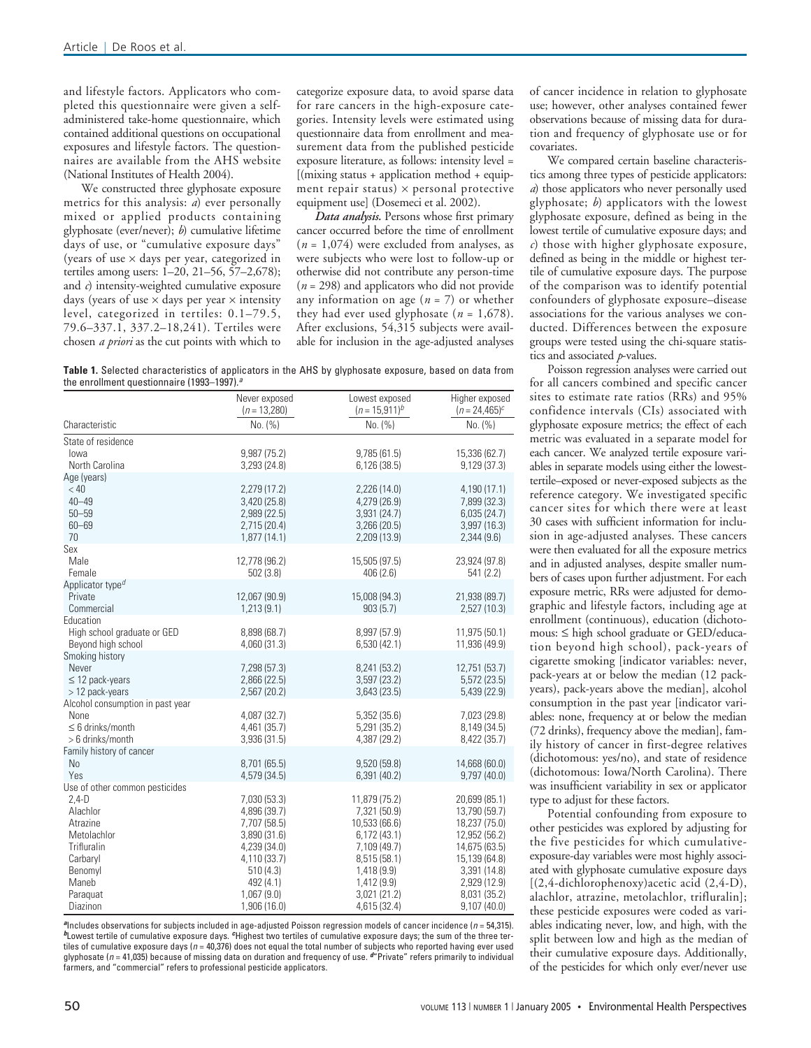and lifestyle factors. Applicators who completed this questionnaire were given a selfadministered take-home questionnaire, which contained additional questions on occupational exposures and lifestyle factors. The questionnaires are available from the AHS website (National Institutes of Health 2004).

We constructed three [glyphosate](https://www.baumhedlundlaw.com/toxic-tort-law/monsanto-roundup-lawsuit/) exposure metrics for this analysis: *a*) ever personally mixed or applied products containing glyphosate (ever/never); *b*) cumulative lifetime days of use, or "cumulative exposure days" (years of use  $\times$  days per year, categorized in tertiles among users: 1–20, 21–56, 57–2,678); and *c*) intensity-weighted cumulative exposure days (years of use  $\times$  days per year  $\times$  intensity level, categorized in tertiles: 0.1–79.5, 79.6–337.1, 337.2–18,241). Tertiles were chosen *a priori* as the cut points with which to

categorize exposure data, to avoid sparse data for rare cancers in the high-exposure categories. Intensity levels were estimated using questionnaire data from enrollment and measurement data from the published pesticide exposure literature, as follows: intensity level = [(mixing status + application method + equipment repair status)  $\times$  personal protective equipment use] (Dosemeci et al. 2002).

*Data analysis.* Persons whose first primary cancer occurred before the time of enrollment (*n* = 1,074) were excluded from analyses, as were subjects who were lost to follow-up or otherwise did not contribute any person-time (*n* = 298) and applicators who did not provide any information on age (*n* = 7) or whether they had ever used glyphosate  $(n = 1,678)$ . After exclusions, 54,315 subjects were available for inclusion in the age-adjusted analyses

**Table 1.** Selected characteristics of applicators in the AHS by glyphosate exposure, based on data from the enrollment questionnaire (1993–1997).

|                                       | Never exposed<br>$(n = 13,280)$ | Lowest exposed<br>$(n = 15.911)^b$ | Higher exposed<br>$(n = 24,465)^c$ |  |
|---------------------------------------|---------------------------------|------------------------------------|------------------------------------|--|
| Characteristic                        | No. (%)                         | No. (%)                            | No. (%)                            |  |
| State of residence                    |                                 |                                    |                                    |  |
| lowa                                  | 9,987 (75.2)                    | 9,785(61.5)                        | 15,336 (62.7)                      |  |
| North Carolina                        | 3,293 (24.8)                    | 6,126 (38.5)                       | 9,129 (37.3)                       |  |
| Age (years)                           |                                 |                                    |                                    |  |
| < 40                                  | 2,279 (17.2)                    | 2,226 (14.0)                       | 4,190 (17.1)                       |  |
| $40 - 49$                             | 3,420 (25.8)                    | 4,279 (26.9)                       | 7,899 (32.3)                       |  |
| $50 - 59$                             | 2,989 (22.5)                    | 3,931 (24.7)                       | 6,035(24.7)                        |  |
| $60 - 69$                             | 2,715 (20.4)                    | 3,266 (20.5)                       | 3,997 (16.3)                       |  |
| 70                                    | 1,877(14.1)                     | 2,209 (13.9)                       | 2,344(9.6)                         |  |
| Sex                                   |                                 |                                    |                                    |  |
| Male                                  | 12,778 (96.2)                   | 15,505 (97.5)                      | 23,924 (97.8)                      |  |
| Female                                | 502(3.8)                        | 406 (2.6)                          | 541 (2.2)                          |  |
| Applicator type <sup>d</sup>          |                                 |                                    |                                    |  |
| Private                               | 12,067 (90.9)                   | 15,008 (94.3)                      | 21,938 (89.7)                      |  |
| Commercial                            | 1,213(9.1)                      | 903(5.7)                           | 2,527 (10.3)                       |  |
| Education                             |                                 |                                    |                                    |  |
| High school graduate or GED           | 8,898 (68.7)                    | 8,997 (57.9)                       | 11,975 (50.1)                      |  |
| Beyond high school                    | 4,060 (31.3)                    | 6,530(42.1)                        | 11,936 (49.9)                      |  |
| Smoking history                       |                                 |                                    |                                    |  |
| Never                                 | 7,298 (57.3)                    | 8,241 (53.2)                       | 12,751 (53.7)                      |  |
| $\leq$ 12 pack-years                  | 2,866 (22.5)                    | 3,597 (23.2)                       | 5,572 (23.5)                       |  |
| > 12 pack-years                       | 2,567 (20.2)                    | 3,643 (23.5)                       | 5,439 (22.9)                       |  |
| Alcohol consumption in past year      |                                 |                                    |                                    |  |
| None                                  | 4,087 (32.7)                    | 5,352(35.6)                        | 7,023 (29.8)                       |  |
| $\leq$ 6 drinks/month                 | 4,461 (35.7)                    | 5,291 (35.2)                       | 8,149 (34.5)                       |  |
| > 6 drinks/month                      | 3,936 (31.5)                    | 4,387 (29.2)                       | 8,422 (35.7)                       |  |
| Family history of cancer<br><b>No</b> | 8,701 (65.5)                    | 9,520 (59.8)                       | 14,668 (60.0)                      |  |
| Yes                                   | 4,579 (34.5)                    | 6,391 (40.2)                       | 9,797 (40.0)                       |  |
| Use of other common pesticides        |                                 |                                    |                                    |  |
| $2,4-D$                               | 7,030 (53.3)                    | 11,879 (75.2)                      | 20,699 (85.1)                      |  |
| Alachlor                              | 4,896 (39.7)                    | 7,321 (50.9)                       | 13,790 (59.7)                      |  |
| Atrazine                              | 7,707 (58.5)                    | 10,533 (66.6)                      | 18,237 (75.0)                      |  |
| Metolachlor                           | 3,890 (31.6)                    | 6,172 (43.1)                       | 12,952 (56.2)                      |  |
| Trifluralin                           | 4,239 (34.0)                    | 7,109 (49.7)                       | 14,675 (63.5)                      |  |
| Carbaryl                              | 4,110 (33.7)                    | 8,515 (58.1)                       | 15,139 (64.8)                      |  |
| Benomyl                               | 510(4.3)                        | 1,418(9.9)                         | 3,391 (14.8)                       |  |
| Maneb                                 | 492 (4.1)                       | 1,412(9.9)                         | 2,929 (12.9)                       |  |
| Paraquat                              | 1,067(9.0)                      | 3,021 (21.2)                       | 8,031 (35.2)                       |  |
| Diazinon                              | 1,906 (16.0)                    | 4,615 (32.4)                       | 9,107(40.0)                        |  |

**<sup>a</sup>**Includes observations for subjects included in age-adjusted Poisson regression models of cancer incidence (<sup>n</sup> = 54,315). **<sup>b</sup>**Lowest tertile of cumulative exposure days. **c**Highest two tertiles of cumulative exposure days; the sum of the three tertiles of cumulative exposure days ( $n = 40,376$ ) does not equal the total number of subjects who reported having ever used glyphosate (<sup>n</sup> = 41,035) because of missing data on duration and frequency of use. **<sup>d</sup>**"Private" refers primarily to individual farmers, and "commercial" refers to professional pesticide applicators.

of cancer incidence in relation to glyphosate use; however, other analyses contained fewer observations because of missing data for duration and frequency of glyphosate use or for covariates.

We compared certain baseline characteristics among three types of pesticide applicators: *a*) those applicators who never personally used glyphosate; *b*) applicators with the lowest glyphosate exposure, defined as being in the lowest tertile of cumulative exposure days; and *c*) those with higher glyphosate exposure, defined as being in the middle or highest tertile of cumulative exposure days. The purpose of the comparison was to identify potential confounders of glyphosate exposure–disease associations for the various analyses we conducted. Differences between the exposure groups were tested using the chi-square statistics and associated *p*-values.

Poisson regression analyses were carried out for all cancers combined and specific cancer sites to estimate rate ratios (RRs) and 95% confidence intervals (CIs) associated with glyphosate exposure metrics; the effect of each metric was evaluated in a separate model for each cancer. We analyzed tertile exposure variables in separate models using either the lowesttertile–exposed or never-exposed subjects as the reference category. We investigated specific cancer sites for which there were at least 30 cases with sufficient information for inclusion in age-adjusted analyses. These cancers were then evaluated for all the exposure metrics and in adjusted analyses, despite smaller numbers of cases upon further adjustment. For each exposure metric, RRs were adjusted for demographic and lifestyle factors, including age at enrollment (continuous), education (dichotomous: ≤ high school graduate or GED/education beyond high school), pack-years of cigarette smoking [indicator variables: never, pack-years at or below the median (12 packyears), pack-years above the median], alcohol consumption in the past year [indicator variables: none, frequency at or below the median (72 drinks), frequency above the median], family history of cancer in first-degree relatives (dichotomous: yes/no), and state of residence (dichotomous: Iowa/North Carolina). There was insufficient variability in sex or applicator type to adjust for these factors.

Potential confounding from exposure to other pesticides was explored by adjusting for the five pesticides for which cumulativeexposure-day variables were most highly associated with glyphosate cumulative exposure days  $[(2,4\text{-dichlorophenoxy})\text{acetic acid } (2,4\text{-D})$ , alachlor, atrazine, metolachlor, trifluralin]; these pesticide exposures were coded as variables indicating never, low, and high, with the split between low and high as the median of their cumulative exposure days. Additionally, of the pesticides for which only ever/never use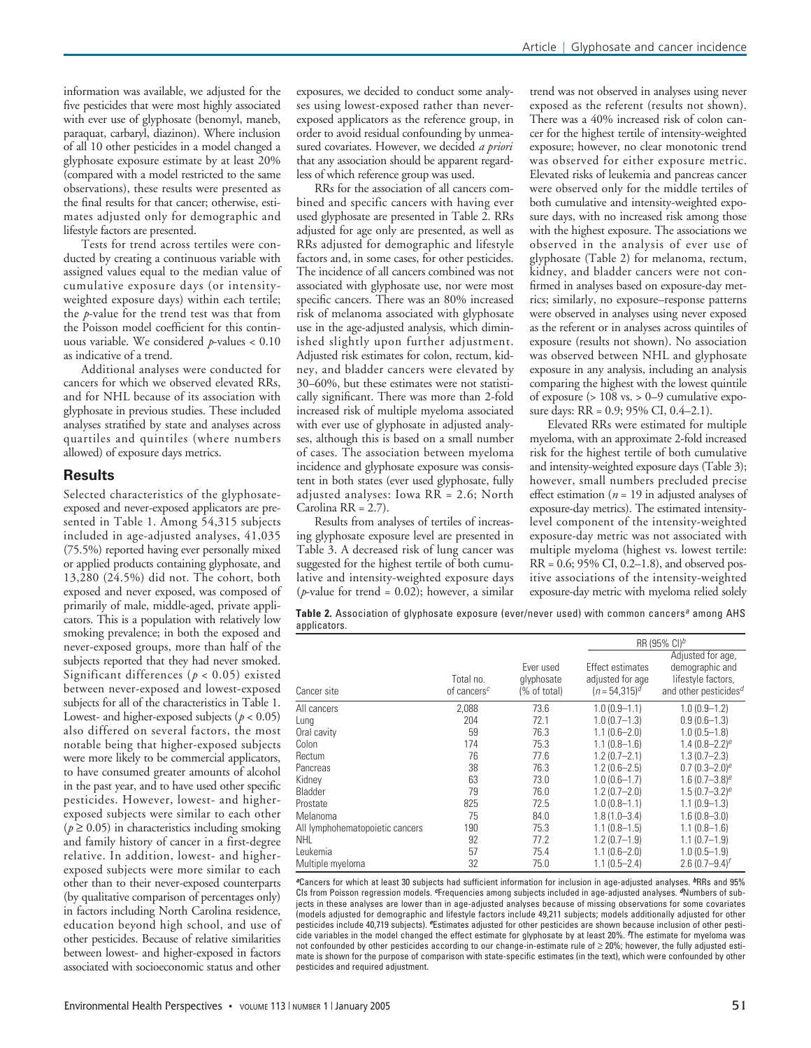information was available, we adjusted for the five pesticides that were most highly associated with ever use of glyphosate (benomyl, maneb, paraquat, carbaryl, diazinon). Where inclusion of all 10 other pesticides in a model changed a glyphosate exposure estimate by at least 20% (compared with a model restricted to the same observations), these results were presented as the final results for that cancer; otherwise, estimates adjusted only for demographic and lifestyle factors are presented.

Tests for trend across tertiles were conducted by creating a continuous variable with assigned values equal to the median value of cumulative exposure days (or intensityweighted exposure days) within each tertile; the *p*-value for the trend test was that from the Poisson model coefficient for this continuous variable. We considered *p*-values < 0.10 as indicative of a trend.

Additional analyses were conducted for cancers for which we observed elevated RRs, and for NHL because of its association with glyphosate in previous studies. These included analyses stratified by state and analyses across quartiles and quintiles (where numbers allowed) of exposure days metrics.

#### **Results**

Selected characteristics of the glyphosateexposed and never-exposed applicators are presented in Table 1. Among 54,315 subjects included in age-adjusted analyses, 41,035 (75.5%) reported having ever personally mixed or applied products containing glyphosate, and 13,280 (24.5%) did not. The cohort, both exposed and never exposed, was composed of primarily of male, middle-aged, private applicators. This is a population with relatively low smoking prevalence; in both the exposed and never-exposed groups, more than half of the subjects reported that they had never smoked. Significant differences (*p* < 0.05) existed between never-exposed and lowest-exposed subjects for all of the characteristics in Table 1. Lowest- and higher-exposed subjects (*p* < 0.05) also differed on several factors, the most notable being that higher-exposed subjects were more likely to be commercial applicators, to have consumed greater amounts of alcohol in the past year, and to have used other specific pesticides. However, lowest- and higherexposed subjects were similar to each other  $(p \ge 0.05)$  in characteristics including smoking and family history of cancer in a first-degree relative. In addition, lowest- and higherexposed subjects were more similar to each other than to their never-exposed counterparts (by qualitative comparison of percentages only) in factors including North Carolina residence, education beyond high school, and use of other pesticides. Because of relative similarities between lowest- and higher-exposed in factors associated with socioeconomic status and other

exposures, we decided to conduct some analyses using lowest-exposed rather than neverexposed applicators as the reference group, in order to avoid residual confounding by unmeasured covariates. However, we decided *a priori* that any association should be apparent regardless of which reference group was used.

RRs for the association of all cancers combined and specific cancers with having ever used glyphosate are presented in Table 2. RRs adjusted for age only are presented, as well as RRs adjusted for demographic and lifestyle factors and, in some cases, for other pesticides. The incidence of all cancers combined was not associated with glyphosate use, nor were most specific cancers. There was an 80% increased risk of melanoma associated with glyphosate use in the age-adjusted analysis, which diminished slightly upon further adjustment. Adjusted risk estimates for colon, rectum, kidney, and bladder cancers were elevated by 30–60%, but these estimates were not statistically significant. There was more than 2-fold increased risk of multiple myeloma associated with ever use of glyphosate in adjusted analyses, although this is based on a small number of cases. The association between myeloma incidence and glyphosate exposure was consistent in both states (ever used glyphosate, fully adjusted analyses: Iowa RR = 2.6; North Carolina RR = 2.7).

Results from analyses of tertiles of increasing glyphosate exposure level are presented in Table 3. A decreased risk of lung cancer was suggested for the highest tertile of both cumulative and intensity-weighted exposure days ( $p$ -value for trend =  $0.02$ ); however, a similar

trend was not observed in analyses using never exposed as the referent (results not shown). There was a 40% increased risk of colon cancer for the highest tertile of intensity-weighted exposure; however, no clear monotonic trend was observed for either exposure metric. Elevated risks of leukemia and pancreas cancer were observed only for the middle tertiles of both cumulative and intensity-weighted exposure days, with no increased risk among those with the highest exposure. The associations we observed in the analysis of ever use of glyphosate (Table 2) for melanoma, rectum, kidney, and bladder cancers were not confirmed in analyses based on exposure-day metrics; similarly, no exposure–response patterns were observed in analyses using never exposed as the referent or in analyses across quintiles of exposure (results not shown). No association was observed between NHL and glyphosate exposure in any analysis, including an analysis comparing the highest with the lowest quintile of exposure (> 108 vs. > 0–9 cumulative exposure days: RR = 0.9; 95% CI, 0.4–2.1).

Elevated RRs were estimated for multiple myeloma, with an approximate 2-fold increased risk for the highest tertile of both cumulative and intensity-weighted exposure days (Table 3); however, small numbers precluded precise effect estimation (*n* = 19 in adjusted analyses of exposure-day metrics). The estimated intensitylevel component of the intensity-weighted exposure-day metric was not associated with multiple myeloma (highest vs. lowest tertile: RR = 0.6; 95% CI, 0.2–1.8), and observed positive associations of the intensity-weighted exposure-day metric with myeloma relied solely

**Table 2.** Association of glyphosate exposure (ever/never used) with common cancers<sup>a</sup> among AHS applicators.

|                                 |                                      |                                         | RR (95% CI) <sup>b</sup>                                 |                                                                                                 |  |  |
|---------------------------------|--------------------------------------|-----------------------------------------|----------------------------------------------------------|-------------------------------------------------------------------------------------------------|--|--|
| Cancer site                     | Total no.<br>of cancers <sup>c</sup> | Ever used<br>glyphosate<br>(% of total) | Effect estimates<br>adjusted for age<br>$(n = 54.315)^d$ | Adjusted for age,<br>demographic and<br>lifestyle factors,<br>and other pesticides <sup>d</sup> |  |  |
| All cancers                     | 2,088                                | 73.6                                    | $1.0(0.9 - 1.1)$                                         | $1.0(0.9-1.2)$                                                                                  |  |  |
| Lung                            | 204                                  | 72.1                                    | $1.0(0.7-1.3)$                                           | $0.9(0.6-1.3)$                                                                                  |  |  |
| Oral cavity                     | 59                                   | 76.3                                    | $1.1(0.6 - 2.0)$                                         | $1.0(0.5 - 1.8)$                                                                                |  |  |
| Colon                           | 174                                  | 75.3                                    | $1.1(0.8-1.6)$                                           | 1.4 $(0.8 - 2.2)^e$                                                                             |  |  |
| Rectum                          | 76                                   | 77.6                                    | $1.2(0.7 - 2.1)$                                         | $1.3(0.7 - 2.3)$                                                                                |  |  |
| Pancreas                        | 38                                   | 76.3                                    | $1.2(0.6 - 2.5)$                                         | $0.7(0.3 - 2.0)^e$                                                                              |  |  |
| Kidney                          | 63                                   | 73.0                                    | $1.0(0.6 - 1.7)$                                         | $1.6(0.7 - 3.8)^e$                                                                              |  |  |
| Bladder                         | 79                                   | 76.0                                    | $1.2(0.7 - 2.0)$                                         | $1.5(0.7-3.2)^e$                                                                                |  |  |
| Prostate                        | 825                                  | 72.5                                    | $1.0(0.8 - 1.1)$                                         | $1.1(0.9-1.3)$                                                                                  |  |  |
| Melanoma                        | 75                                   | 84.0                                    | $1.8(1.0 - 3.4)$                                         | $1.6(0.8 - 3.0)$                                                                                |  |  |
| All lymphohematopoietic cancers | 190                                  | 75.3                                    | $1.1(0.8-1.5)$                                           | $1.1(0.8-1.6)$                                                                                  |  |  |
| <b>NHL</b>                      | 92                                   | 77.2                                    | $1.2(0.7-1.9)$                                           | $1.1(0.7-1.9)$                                                                                  |  |  |
| Leukemia                        | 57                                   | 75.4                                    | $1.1(0.6 - 2.0)$                                         | $1.0(0.5 - 1.9)$                                                                                |  |  |
| Multiple myeloma                | 32                                   | 75.0                                    | $1.1(0.5 - 2.4)$                                         | $2.6(0.7 - 9.4)^f$                                                                              |  |  |

**<sup>a</sup>**Cancers for which at least 30 subjects had sufficient information for inclusion in age-adjusted analyses. **<sup>b</sup>**RRs and 95% CIs from Poisson regression models. **c**Frequencies among subjects included in age-adjusted analyses. **<sup>d</sup>**Numbers of subjects in these analyses are lower than in age-adjusted analyses because of missing observations for some covariates (models adjusted for demographic and lifestyle factors include 49,211 subjects; models additionally adjusted for other pesticides include 40,719 subjects). **e**Estimates adjusted for other pesticides are shown because inclusion of other pesticide variables in the model changed the effect estimate for glyphosate by at least 20%. **<sup>f</sup>** The estimate for myeloma was not confounded by other pesticides according to our change-in-estimate rule of ≥ 20%; however, the fully adjusted estimate is shown for the purpose of comparison with state-specific estimates (in the text), which were confounded by other pesticides and required adjustment.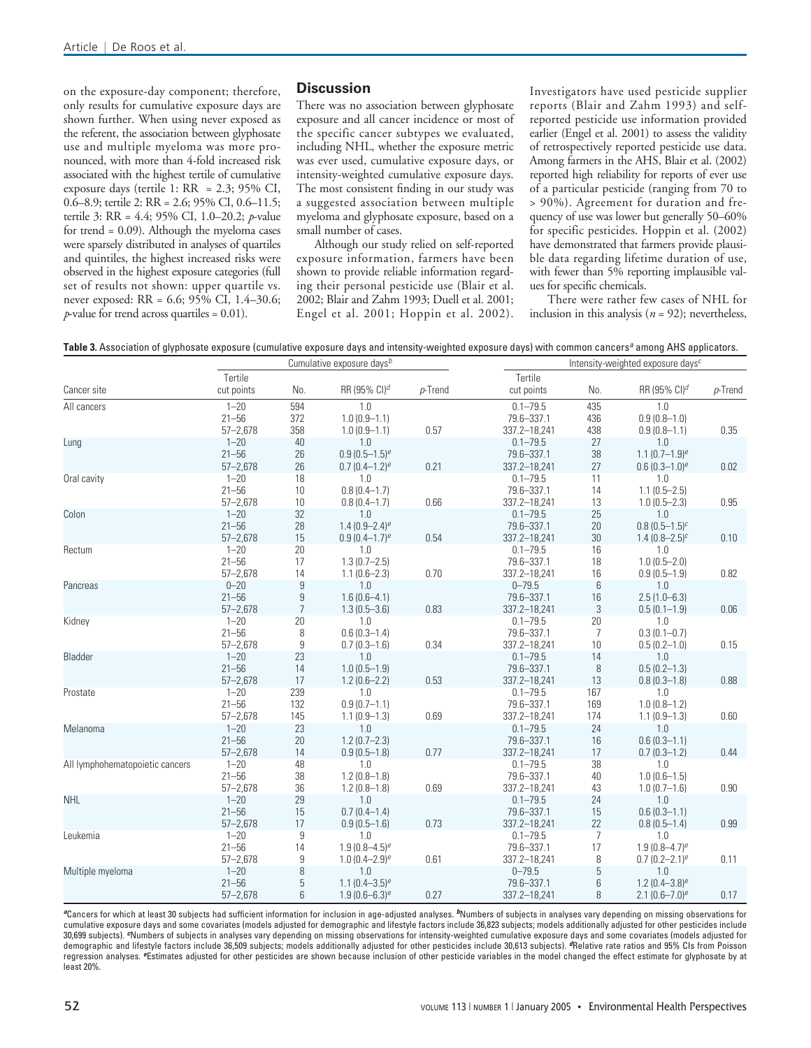on the exposure-day component; therefore, only results for cumulative exposure days are shown further. When using never exposed as the referent, the association between glyphosate use and multiple myeloma was more pronounced, with more than 4-fold increased risk associated with the highest tertile of cumulative exposure days (tertile 1: RR = 2.3; 95% CI, 0.6–8.9; tertile 2: RR = 2.6; 95% CI, 0.6–11.5; tertile 3: RR = 4.4; 95% CI, 1.0–20.2; *p*-value for trend = 0.09). Although the myeloma cases were sparsely distributed in analyses of quartiles and quintiles, the highest increased risks were observed in the highest exposure categories (full set of results not shown: upper quartile vs. never exposed: RR = 6.6; 95% CI, 1.4–30.6;  $p$ -value for trend across quartiles =  $0.01$ ).

## **Discussion**

There was no association between glyphosate exposure and all cancer incidence or most of the specific cancer subtypes we evaluated, including NHL, whether the exposure metric was ever used, cumulative exposure days, or intensity-weighted cumulative exposure days. The most consistent finding in our study was a suggested association between multiple myeloma and glyphosate exposure, based on a small number of cases.

Although our study relied on self-reported exposure information, farmers have been shown to provide reliable information regarding their personal pesticide use (Blair et al. 2002; Blair and Zahm 1993; Duell et al. 2001; Engel et al. 2001; Hoppin et al. 2002).

Investigators have used pesticide supplier reports (Blair and Zahm 1993) and selfreported pesticide use information provided earlier (Engel et al. 2001) to assess the validity of retrospectively reported pesticide use data. Among farmers in the AHS, Blair et al. (2002) reported high reliability for reports of ever use of a particular pesticide (ranging from 70 to > 90%). Agreement for duration and frequency of use was lower but generally 50–60% for specific pesticides. Hoppin et al. (2002) have demonstrated that farmers provide plausible data regarding lifetime duration of use, with fewer than 5% reporting implausible values for specific chemicals.

There were rather few cases of NHL for inclusion in this analysis  $(n = 92)$ ; nevertheless,

|  |  |  |  | Table 3. Association of glyphosate exposure (cumulative exposure days and intensity-weighted exposure days) with common cancers <sup>a</sup> among AHS applicators. |  |  |
|--|--|--|--|---------------------------------------------------------------------------------------------------------------------------------------------------------------------|--|--|
|--|--|--|--|---------------------------------------------------------------------------------------------------------------------------------------------------------------------|--|--|

|                                 | Cumulative exposure days <sup>b</sup> |                                                        |                                                  |            | Intensity-weighted exposure days <sup>c</sup> |                                |                                                   |            |
|---------------------------------|---------------------------------------|--------------------------------------------------------|--------------------------------------------------|------------|-----------------------------------------------|--------------------------------|---------------------------------------------------|------------|
| Cancer site                     | Tertile<br>cut points                 | No.                                                    | RR (95% CI) <sup>d</sup>                         | $p$ -Trend | Tertile<br>cut points                         | No.                            | RR (95% CI) <sup>d</sup>                          | $p$ -Trend |
| All cancers                     | $1 - 20$<br>$21 - 56$<br>$57 - 2,678$ | 594<br>372<br>358                                      | 1.0<br>$1.0(0.9 - 1.1)$<br>$1.0(0.9 - 1.1)$      | 0.57       | $0.1 - 79.5$<br>79.6-337.1<br>337.2-18,241    | 435<br>436<br>438              | $1.0\,$<br>$0.9(0.8 - 1.0)$<br>$0.9(0.8 - 1.1)$   | 0.35       |
| Lung                            | $1 - 20$<br>$21 - 56$<br>$57 - 2,678$ | 40<br>26<br>26                                         | 1.0<br>$0.9(0.5-1.5)^e$<br>$0.7(0.4-1.2)^e$      | 0.21       | $0.1 - 79.5$<br>79.6-337.1<br>337.2-18,241    | 27<br>38<br>27                 | 1.0<br>$1.1(0.7-1.9)^e$<br>$0.6(0.3-1.0)^e$       | 0.02       |
| Oral cavity                     | $1 - 20$<br>$21 - 56$<br>$57 - 2,678$ | 18<br>$10$<br>$10$                                     | 1.0<br>$0.8(0.4-1.7)$<br>$0.8(0.4-1.7)$          | 0.66       | $0.1 - 79.5$<br>79.6-337.1<br>337.2-18,241    | 11<br>14<br>13                 | 1.0<br>$1.1(0.5 - 2.5)$<br>$1.0(0.5 - 2.3)$       | 0.95       |
| Colon                           | $1 - 20$<br>$21 - 56$<br>$57 - 2,678$ | 32<br>28<br>15                                         | 1.0<br>1.4 $(0.9 - 2.4)e$<br>$0.9(0.4-1.7)^e$    | 0.54       | $0.1 - 79.5$<br>79.6-337.1<br>337.2-18,241    | 25<br>20<br>30                 | 1.0<br>$0.8(0.5-1.5)^{c}$<br>1.4 $(0.8 - 2.5)^c$  | 0.10       |
| Rectum                          | $1 - 20$<br>$21 - 56$<br>$57 - 2,678$ | 20<br>17<br>14                                         | 1.0<br>$1.3(0.7 - 2.5)$<br>$1.1(0.6 - 2.3)$      | 0.70       | $0.1 - 79.5$<br>79.6-337.1<br>337.2-18,241    | 16<br>18<br>16                 | 1.0<br>$1.0(0.5 - 2.0)$<br>$0.9(0.5-1.9)$         | 0.82       |
| Pancreas                        | $0 - 20$<br>$21 - 56$<br>$57 - 2,678$ | $\boldsymbol{9}$<br>$\boldsymbol{9}$<br>$\overline{7}$ | 1.0<br>$1.6(0.6 - 4.1)$<br>$1.3(0.5 - 3.6)$      | 0.83       | $0 - 79.5$<br>79.6-337.1<br>337.2-18,241      | $\,6\,$<br>16<br>$\sqrt{3}$    | 1.0<br>$2.5(1.0-6.3)$<br>$0.5(0.1-1.9)$           | $0.06\,$   |
| Kidney                          | $1 - 20$<br>$21 - 56$<br>$57 - 2,678$ | 20<br>8<br>9                                           | 1.0<br>$0.6(0.3 - 1.4)$<br>$0.7(0.3-1.6)$        | 0.34       | $0.1 - 79.5$<br>79.6-337.1<br>337.2-18,241    | $20\,$<br>$\overline{7}$<br>10 | 1.0<br>$0.3(0.1 - 0.7)$<br>$0.5(0.2 - 1.0)$       | 0.15       |
| Bladder                         | $1 - 20$<br>$21 - 56$<br>$57 - 2,678$ | 23<br>14<br>17                                         | 1.0<br>$1.0(0.5 - 1.9)$<br>$1.2(0.6 - 2.2)$      | 0.53       | $0.1 - 79.5$<br>79.6-337.1<br>337.2-18,241    | 14<br>$\, 8$<br>13             | 1.0<br>$0.5(0.2-1.3)$<br>$0.8(0.3 - 1.8)$         | 0.88       |
| Prostate                        | $1 - 20$<br>$21 - 56$<br>$57 - 2,678$ | 239<br>132<br>145                                      | 1.0<br>$0.9(0.7-1.1)$<br>$1.1(0.9-1.3)$          | 0.69       | $0.1 - 79.5$<br>79.6-337.1<br>337.2-18,241    | 167<br>169<br>174              | 1.0<br>$1.0(0.8-1.2)$<br>$1.1(0.9-1.3)$           | 0.60       |
| Melanoma                        | $1 - 20$<br>$21 - 56$<br>$57 - 2,678$ | 23<br>20<br>14                                         | 1.0<br>$1.2(0.7 - 2.3)$<br>$0.9(0.5 - 1.8)$      | 0.77       | $0.1 - 79.5$<br>79.6-337.1<br>337.2-18,241    | 24<br>16<br>17                 | 1.0<br>$0.6(0.3-1.1)$<br>$0.7(0.3-1.2)$           | 0.44       |
| All lymphohematopoietic cancers | $1 - 20$<br>$21 - 56$<br>$57 - 2,678$ | 48<br>38<br>36                                         | 1.0<br>$1.2(0.8-1.8)$<br>$1.2(0.8-1.8)$          | 0.69       | $0.1 - 79.5$<br>79.6-337.1<br>337.2-18,241    | 38<br>$40\,$<br>43             | 1.0<br>$1.0(0.6 - 1.5)$<br>$1.0(0.7-1.6)$         | $0.90\,$   |
| <b>NHL</b>                      | $1 - 20$<br>$21 - 56$<br>$57 - 2,678$ | 29<br>15<br>17                                         | 1.0<br>$0.7(0.4-1.4)$<br>$0.9(0.5-1.6)$          | 0.73       | $0.1 - 79.5$<br>79.6-337.1<br>337.2-18,241    | 24<br>15<br>22                 | 1.0<br>$0.6(0.3-1.1)$<br>$0.8(0.5-1.4)$           | 0.99       |
| Leukemia                        | $1 - 20$<br>$21 - 56$<br>$57 - 2,678$ | 9<br>14<br>$\boldsymbol{9}$                            | 1.0<br>$1.9(0.8 - 4.5)^e$<br>1.0 $(0.4 - 2.9)^e$ | 0.61       | $0.1 - 79.5$<br>79.6-337.1<br>337.2-18,241    | $\overline{7}$<br>17<br>$\, 8$ | 1.0<br>1.9 $(0.8-4.7)^e$<br>$0.7(0.2 - 2.1)^e$    | 0.11       |
| Multiple myeloma                | $1 - 20$<br>$21 - 56$<br>$57 - 2,678$ | $\, 8$<br>5<br>6                                       | 1.0<br>1.1 $(0.4-3.5)^e$<br>$1.9(0.6-6.3)^e$     | 0.27       | $0 - 79.5$<br>79.6-337.1<br>337.2-18,241      | $\mathbf 5$<br>$6\,$<br>8      | $1.0$<br>1.2 $(0.4-3.8)^e$<br>2.1 $(0.6 - 7.0)^e$ | 0.17       |

**<sup>a</sup>**Cancers for which at least 30 subjects had sufficient information for inclusion in age-adjusted analyses. **<sup>b</sup>**Numbers of subjects in analyses vary depending on missing observations for cumulative exposure days and some covariates (models adjusted for demographic and lifestyle factors include 36,823 subjects; models additionally adjusted for other pesticides include 30,699 subjects). **c**Numbers of subjects in analyses vary depending on missing observations for intensity-weighted cumulative exposure days and some covariates (models adjusted for demographic and lifestyle factors include 36,509 subjects; models additionally adjusted for other pesticides include 30,613 subjects). **<sup>d</sup>**Relative rate ratios and 95% CIs from Poisson regression analyses. <sup>e</sup>Estimates adjusted for other pesticides are shown because inclusion of other pesticide variables in the model changed the effect estimate for glyphosate by at least 20%.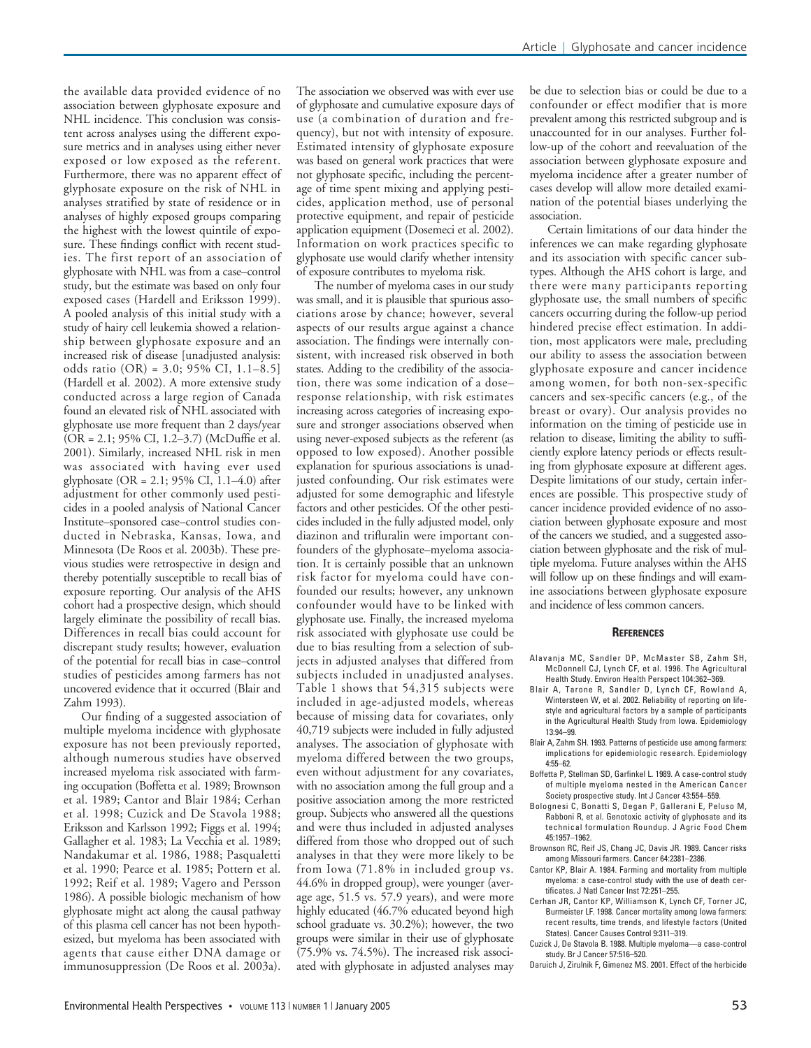the available data provided evidence of no association between glyphosate exposure and NHL incidence. This conclusion was consistent across analyses using the different exposure metrics and in analyses using either never exposed or low exposed as the referent. Furthermore, there was no apparent effect of glyphosate exposure on the risk of NHL in analyses stratified by state of residence or in analyses of highly exposed groups comparing the highest with the lowest quintile of exposure. These findings conflict with recent studies. The first report of an association of glyphosate with NHL was from a case–control study, but the estimate was based on only four exposed cases (Hardell and Eriksson 1999). A pooled analysis of this initial study with a study of hairy cell leukemia showed a relationship between glyphosate exposure and an increased risk of disease [unadjusted analysis: odds ratio (OR) = 3.0; 95% CI, 1.1–8.5] (Hardell et al. 2002). A more extensive study conducted across a large region of Canada found an elevated risk of NHL associated with glyphosate use more frequent than 2 days/year  $(OR = 2.1; 95\% CI, 1.2–3.7)$  (McDuffie et al. 2001). Similarly, increased NHL risk in men was associated with having ever used glyphosate (OR = 2.1; 95% CI, 1.1–4.0) after adjustment for other commonly used pesticides in a pooled analysis of National Cancer Institute–sponsored case–control studies conducted in Nebraska, Kansas, Iowa, and Minnesota (De Roos et al. 2003b). These previous studies were retrospective in design and thereby potentially susceptible to recall bias of exposure reporting. Our analysis of the AHS cohort had a prospective design, which should largely eliminate the possibility of recall bias. Differences in recall bias could account for discrepant study results; however, evaluation of the potential for recall bias in case–control studies of pesticides among farmers has not uncovered evidence that it occurred (Blair and Zahm 1993).

Our finding of a suggested association of multiple myeloma incidence with glyphosate exposure has not been previously reported, although numerous studies have observed increased myeloma risk associated with farming occupation (Boffetta et al. 1989; Brownson et al. 1989; Cantor and Blair 1984; Cerhan et al. 1998; Cuzick and De Stavola 1988; Eriksson and Karlsson 1992; Figgs et al. 1994; Gallagher et al. 1983; La Vecchia et al. 1989; Nandakumar et al. 1986, 1988; Pasqualetti et al. 1990; Pearce et al. 1985; Pottern et al. 1992; Reif et al. 1989; Vagero and Persson 1986). A possible biologic mechanism of how glyphosate might act along the causal pathway of this plasma cell cancer has not been hypothesized, but myeloma has been associated with agents that cause either DNA damage or immunosuppression (De Roos et al. 2003a).

The association we observed was with ever use of glyphosate and cumulative exposure days of use (a combination of duration and frequency), but not with intensity of exposure. Estimated intensity of glyphosate exposure was based on general work practices that were not glyphosate specific, including the percentage of time spent mixing and applying pesticides, application method, use of personal protective equipment, and repair of pesticide application equipment (Dosemeci et al. 2002). Information on work practices specific to glyphosate use would clarify whether intensity of exposure contributes to myeloma risk.

The number of myeloma cases in our study was small, and it is plausible that spurious associations arose by chance; however, several aspects of our results argue against a chance association. The findings were internally consistent, with increased risk observed in both states. Adding to the credibility of the association, there was some indication of a dose– response relationship, with risk estimates increasing across categories of increasing exposure and stronger associations observed when using never-exposed subjects as the referent (as opposed to low exposed). Another possible explanation for spurious associations is unadjusted confounding. Our risk estimates were adjusted for some demographic and lifestyle factors and other pesticides. Of the other pesticides included in the fully adjusted model, only diazinon and trifluralin were important confounders of the glyphosate–myeloma association. It is certainly possible that an unknown risk factor for myeloma could have confounded our results; however, any unknown confounder would have to be linked with glyphosate use. Finally, the increased myeloma risk associated with glyphosate use could be due to bias resulting from a selection of subjects in adjusted analyses that differed from subjects included in unadjusted analyses. Table 1 shows that 54,315 subjects were included in age-adjusted models, whereas because of missing data for covariates, only 40,719 subjects were included in fully adjusted analyses. The association of glyphosate with myeloma differed between the two groups, even without adjustment for any covariates, with no association among the full group and a positive association among the more restricted group. Subjects who answered all the questions and were thus included in adjusted analyses differed from those who dropped out of such analyses in that they were more likely to be from Iowa (71.8% in included group vs. 44.6% in dropped group), were younger (average age, 51.5 vs. 57.9 years), and were more highly educated (46.7% educated beyond high school graduate vs. 30.2%); however, the two groups were similar in their use of glyphosate (75.9% vs. 74.5%). The increased risk associated with glyphosate in adjusted analyses may

be due to selection bias or could be due to a confounder or effect modifier that is more prevalent among this restricted subgroup and is unaccounted for in our analyses. Further follow-up of the cohort and reevaluation of the association between glyphosate exposure and myeloma incidence after a greater number of cases develop will allow more detailed examination of the potential biases underlying the association.

Certain limitations of our data hinder the inferences we can make regarding glyphosate and its association with specific cancer subtypes. Although the AHS cohort is large, and there were many participants reporting glyphosate use, the small numbers of specific cancers occurring during the follow-up period hindered precise effect estimation. In addition, most applicators were male, precluding our ability to assess the association between glyphosate exposure and cancer incidence among women, for both non-sex-specific cancers and sex-specific cancers (e.g., of the breast or ovary). Our analysis provides no information on the timing of pesticide use in relation to disease, limiting the ability to sufficiently explore latency periods or effects resulting from glyphosate exposure at different ages. Despite limitations of our study, certain inferences are possible. This prospective study of cancer incidence provided evidence of no association between glyphosate exposure and most of the cancers we studied, and a suggested association between glyphosate and the risk of multiple myeloma. Future analyses within the AHS will follow up on these findings and will examine associations between glyphosate exposure and incidence of less common cancers.

#### **REFERENCES**

- Alavanja MC, Sandler DP, McMaster SB, Zahm SH, McDonnell CJ, Lynch CF, et al. 1996. The Agricultural Health Study. Environ Health Perspect 104:362–369.
- Blair A, Tarone R, Sandler D, Lynch CF, Rowland A, Wintersteen W, et al. 2002. Reliability of reporting on lifestyle and agricultural factors by a sample of participants in the Agricultural Health Study from Iowa. Epidemiology 13:94–99.
- Blair A, Zahm SH. 1993. Patterns of pesticide use among farmers: implications for epidemiologic research. Epidemiology 4:55–62.
- Boffetta P, Stellman SD, Garfinkel L. 1989. A case-control study of multiple myeloma nested in the American Cancer Society prospective study. Int J Cancer 43:554–559.
- Bolognesi C, Bonatti S, Degan P, Gallerani E, Peluso M, Rabboni R, et al. Genotoxic activity of glyphosate and its technical formulation Roundup. J Agric Food Chem 45:1957–1962.
- Brownson RC, Reif JS, Chang JC, Davis JR. 1989. Cancer risks among Missouri farmers. Cancer 64:2381–2386.
- Cantor KP, Blair A. 1984. Farming and mortality from multiple myeloma: a case-control study with the use of death certificates. J Natl Cancer Inst 72:251–255.
- Cerhan JR, Cantor KP, Williamson K, Lynch CF, Torner JC, Burmeister LF. 1998. Cancer mortality among Iowa farmers: recent results, time trends, and lifestyle factors (United States). Cancer Causes Control 9:311–319.
- Cuzick J, De Stavola B. 1988. Multiple myeloma—a case-control study. Br J Cancer 57:516–520.
- Daruich J, Zirulnik F, Gimenez MS. 2001. Effect of the herbicide